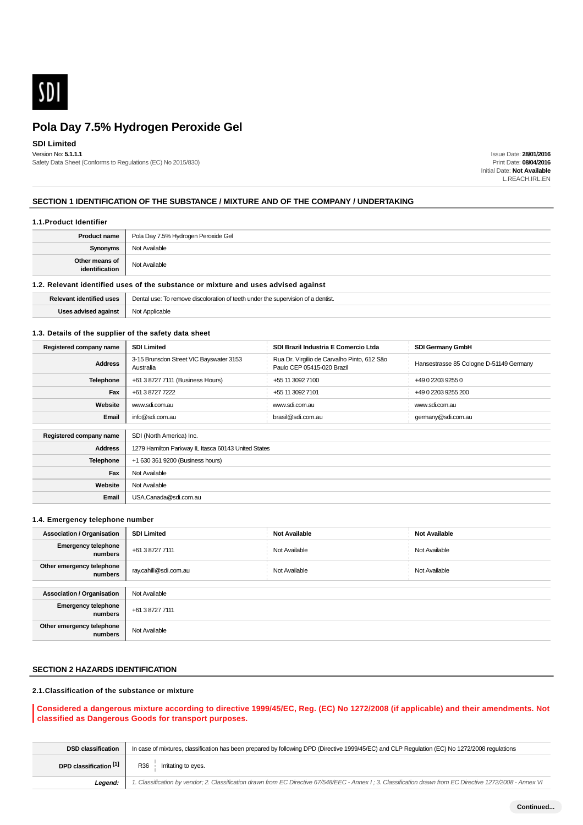

### **SDI Limited**

Version No: **5.1.1.1** Safety Data Sheet (Conforms to Regulations (EC) No 2015/830)

Issue Date: **28/01/2016** Print Date: **08/04/2016** Initial Date: **Not Available** L.REACH.IRL.EN

### **SECTION 1 IDENTIFICATION OF THE SUBSTANCE / MIXTURE AND OF THE COMPANY / UNDERTAKING**

#### **1.1.Product Identifier**

| <b>Product name</b>              | Pola Day 7.5% Hydrogen Peroxide Gel |  |
|----------------------------------|-------------------------------------|--|
| Synonyms                         | Not Available                       |  |
| Other means of<br>identification | Not Available                       |  |

### **1.2. Relevant identified uses of the substance or mixture and uses advised against**

| Relevant identified uses | Dental use: To remove discoloration of teeth under the supervision of a dentist. |  |
|--------------------------|----------------------------------------------------------------------------------|--|
| Uses advised against     | Not Applicable                                                                   |  |

### **1.3. Details of the supplier of the safety data sheet**

| Registered company name | <b>SDI Limited</b>                                   | SDI Brazil Industria E Comercio Ltda                                      | <b>SDI Germany GmbH</b>                 |
|-------------------------|------------------------------------------------------|---------------------------------------------------------------------------|-----------------------------------------|
| <b>Address</b>          | 3-15 Brunsdon Street VIC Bayswater 3153<br>Australia | Rua Dr. Virgilio de Carvalho Pinto, 612 São<br>Paulo CEP 05415-020 Brazil | Hansestrasse 85 Cologne D-51149 Germany |
| <b>Telephone</b>        | +61 3 8727 7111 (Business Hours)                     | +55 11 3092 7100                                                          | +49 0 2203 9255 0                       |
| Fax                     | +61 3 8727 7222                                      | +55 11 3092 7101                                                          | +49 0 2203 9255 200                     |
| Website                 | www.sdi.com.au                                       | www.sdi.com.au                                                            | www.sdi.com.au                          |
| Email                   | info@sdi.com.au                                      | brasil@sdi.com.au                                                         | germany@sdi.com.au                      |
|                         |                                                      |                                                                           |                                         |
| Registered company name | SDI (North America) Inc.                             |                                                                           |                                         |
| <b>Address</b>          | 1279 Hamilton Parkway IL Itasca 60143 United States  |                                                                           |                                         |
| <b>Telephone</b>        | +1 630 361 9200 (Business hours)                     |                                                                           |                                         |
| Fax                     | Not Available                                        |                                                                           |                                         |
| Website                 | Not Available                                        |                                                                           |                                         |
| Email                   | USA.Canada@sdi.com.au                                |                                                                           |                                         |

### **1.4. Emergency telephone number**

| <b>Association / Organisation</b>     | <b>SDI Limited</b>    | <b>Not Available</b> | <b>Not Available</b> |  |
|---------------------------------------|-----------------------|----------------------|----------------------|--|
| <b>Emergency telephone</b><br>numbers | +61 3 8727 7111       | Not Available        | Not Available        |  |
| Other emergency telephone<br>numbers  | ray.cahill@sdi.com.au | Not Available        | Not Available        |  |
|                                       |                       |                      |                      |  |
| <b>Association / Organisation</b>     | Not Available         |                      |                      |  |
| <b>Emergency telephone</b><br>numbers | +61 3 8727 7111       |                      |                      |  |
| Other emergency telephone<br>numbers  | Not Available         |                      |                      |  |

### **SECTION 2 HAZARDS IDENTIFICATION**

### **2.1.Classification of the substance or mixture**

### **Considered a dangerous mixture according to directive 1999/45/EC, Reg. (EC) No 1272/2008 (if applicable) and their amendments. Not classified as Dangerous Goods for transport purposes.**

| <b>DSD classification</b> | In case of mixtures, classification has been prepared by following DPD (Directive 1999/45/EC) and CLP Regulation (EC) No 1272/2008 regulations              |  |  |
|---------------------------|-------------------------------------------------------------------------------------------------------------------------------------------------------------|--|--|
| DPD classification [1]    | R36 Irritating to eyes.                                                                                                                                     |  |  |
| Leaend:                   | 1. Classification by vendor; 2. Classification drawn from EC Directive 67/548/EEC - Annex I; 3. Classification drawn from EC Directive 1272/2008 - Annex VI |  |  |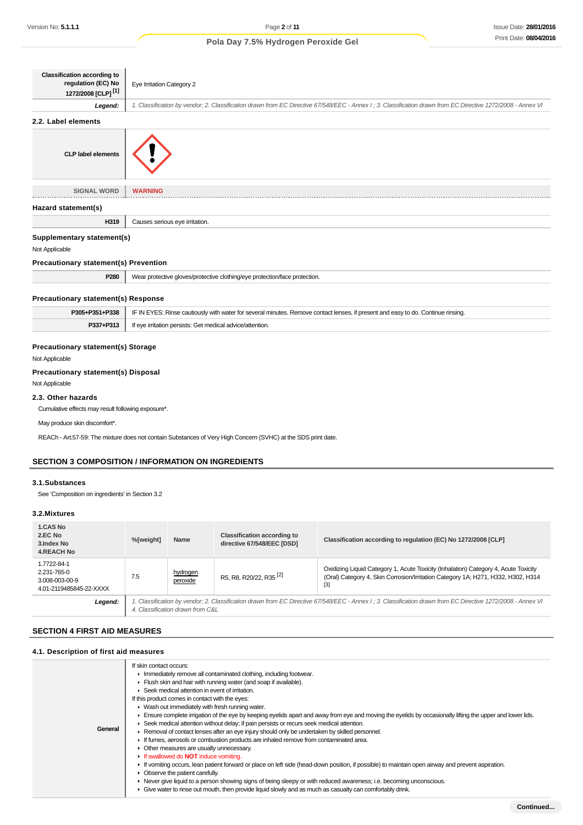| <b>Classification according to</b><br>regulation (EC) No<br>1272/2008 [CLP] <sup>[1]</sup> | Eye Irritation Category 2                                                                                                                                   |
|--------------------------------------------------------------------------------------------|-------------------------------------------------------------------------------------------------------------------------------------------------------------|
| Legend:                                                                                    | 1. Classification by vendor; 2. Classification drawn from EC Directive 67/548/EEC - Annex I; 3. Classification drawn from EC Directive 1272/2008 - Annex VI |
| 2.2. Label elements                                                                        |                                                                                                                                                             |
| <b>CLP label elements</b>                                                                  |                                                                                                                                                             |
| <b>SIGNAL WORD</b>                                                                         | <b>WARNING</b>                                                                                                                                              |
| Hazard statement(s)                                                                        |                                                                                                                                                             |
| H319                                                                                       | Causes serious eye irritation.                                                                                                                              |
| Supplementary statement(s)                                                                 |                                                                                                                                                             |
| Not Applicable                                                                             |                                                                                                                                                             |
| <b>Precautionary statement(s) Prevention</b>                                               |                                                                                                                                                             |
| P280                                                                                       | Wear protective gloves/protective clothing/eye protection/face protection.                                                                                  |
| <b>Precautionary statement(s) Response</b>                                                 |                                                                                                                                                             |
| P305+P351+P338                                                                             | IF IN EYES: Rinse cautiously with water for several minutes. Remove contact lenses, if present and easy to do. Continue rinsing.                            |
|                                                                                            | If eye irritation persists: Get medical advice/attention.                                                                                                   |

# **Precautionary statement(s) Disposal**

Not Applicable

### **2.3. Other hazards**

Cumulative effects may result following exposure\*.

May produce skin discomfort\*.

REACh - Art.57-59: The mixture does not contain Substances of Very High Concern (SVHC) at the SDS print date.

### **SECTION 3 COMPOSITION / INFORMATION ON INGREDIENTS**

### **3.1.Substances**

See 'Composition on ingredients' in Section 3.2

### **3.2.Mixtures**

| 1.CAS No<br>2.EC No<br>3. Index No<br><b>4.REACH No</b>                 | %[weight]                                                                                                                                                                                        | Name                 | <b>Classification according to</b><br>directive 67/548/EEC [DSD] | Classification according to regulation (EC) No 1272/2008 [CLP]                                                                                                                   |
|-------------------------------------------------------------------------|--------------------------------------------------------------------------------------------------------------------------------------------------------------------------------------------------|----------------------|------------------------------------------------------------------|----------------------------------------------------------------------------------------------------------------------------------------------------------------------------------|
| 1.7722-84-1<br>2.231-765-0<br>3.008-003-00-9<br>4.01-2119485845-22-XXXX | 7.5                                                                                                                                                                                              | hydrogen<br>peroxide | R5, R8, R20/22, R35 <sup>[2]</sup>                               | Oxidizing Liquid Category 1, Acute Toxicity (Inhalation) Category 4, Acute Toxicity<br>(Oral) Category 4, Skin Corrosion/Irritation Category 1A; H271, H332, H302, H314<br>$[3]$ |
| Legend:                                                                 | 1. Classification by vendor; 2. Classification drawn from EC Directive 67/548/EEC - Annex I ; 3. Classification drawn from EC Directive 1272/2008 - Annex VI<br>4. Classification drawn from C&L |                      |                                                                  |                                                                                                                                                                                  |

### **SECTION 4 FIRST AID MEASURES**

| 4.1. Description of first aid measures |                                                                                                                                                                                                                                                                                                                                                                                                                                                                                                                                                                                                                                                                                                                                                                                                                                                                                                                                                                                                                                                                                                                                                                                                                                                                                                            |
|----------------------------------------|------------------------------------------------------------------------------------------------------------------------------------------------------------------------------------------------------------------------------------------------------------------------------------------------------------------------------------------------------------------------------------------------------------------------------------------------------------------------------------------------------------------------------------------------------------------------------------------------------------------------------------------------------------------------------------------------------------------------------------------------------------------------------------------------------------------------------------------------------------------------------------------------------------------------------------------------------------------------------------------------------------------------------------------------------------------------------------------------------------------------------------------------------------------------------------------------------------------------------------------------------------------------------------------------------------|
| General                                | If skin contact occurs:<br>In mediately remove all contaminated clothing, including footwear.<br>Flush skin and hair with running water (and soap if available).<br>▶ Seek medical attention in event of irritation.<br>If this product comes in contact with the eyes:<br>• Wash out immediately with fresh running water.<br>Ensure complete irrigation of the eye by keeping eyelids apart and away from eye and moving the eyelids by occasionally lifting the upper and lower lids.<br>► Seek medical attention without delay; if pain persists or recurs seek medical attention.<br>► Removal of contact lenses after an eye injury should only be undertaken by skilled personnel.<br>If fumes, aerosols or combustion products are inhaled remove from contaminated area.<br>• Other measures are usually unnecessary.<br>If swallowed do <b>NOT</b> induce vomiting.<br>If vomiting occurs, lean patient forward or place on left side (head-down position, if possible) to maintain open airway and prevent aspiration.<br>• Observe the patient carefully.<br>▶ Never give liquid to a person showing signs of being sleepy or with reduced awareness; i.e. becoming unconscious.<br>• Give water to rinse out mouth, then provide liquid slowly and as much as casualty can comfortably drink. |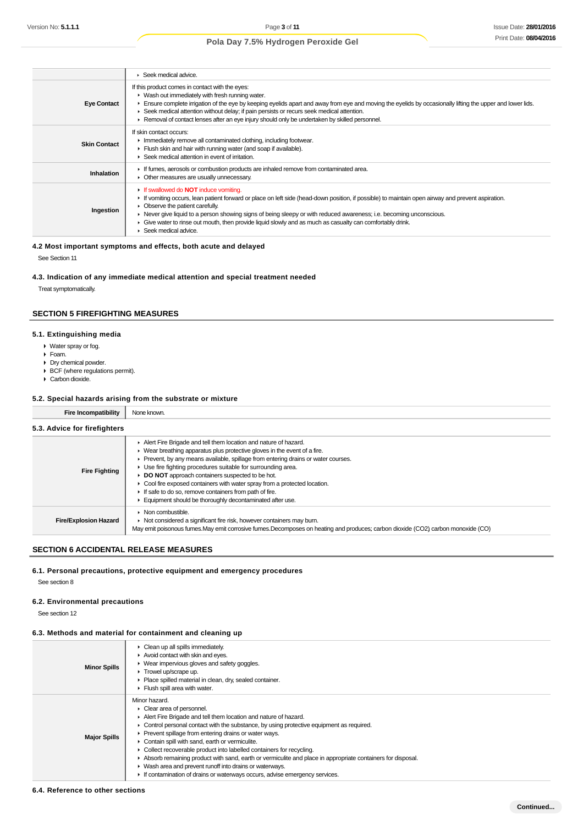|                     | Seek medical advice.                                                                                                                                                                                                                                                                                                                                                                                                                                                                             |
|---------------------|--------------------------------------------------------------------------------------------------------------------------------------------------------------------------------------------------------------------------------------------------------------------------------------------------------------------------------------------------------------------------------------------------------------------------------------------------------------------------------------------------|
| <b>Eye Contact</b>  | If this product comes in contact with the eyes:<br>• Wash out immediately with fresh running water.<br>Ensure complete irrigation of the eye by keeping eyelids apart and away from eye and moving the eyelids by occasionally lifting the upper and lower lids.<br>► Seek medical attention without delay; if pain persists or recurs seek medical attention.<br>► Removal of contact lenses after an eye injury should only be undertaken by skilled personnel.                                |
| <b>Skin Contact</b> | If skin contact occurs:<br>Inmediately remove all contaminated clothing, including footwear.<br>Flush skin and hair with running water (and soap if available).<br>▶ Seek medical attention in event of irritation.                                                                                                                                                                                                                                                                              |
| Inhalation          | If fumes, aerosols or combustion products are inhaled remove from contaminated area.<br>• Other measures are usually unnecessary.                                                                                                                                                                                                                                                                                                                                                                |
| Ingestion           | If swallowed do <b>NOT</b> induce vomiting.<br>If vomiting occurs, lean patient forward or place on left side (head-down position, if possible) to maintain open airway and prevent aspiration.<br>• Observe the patient carefully.<br>► Never give liquid to a person showing signs of being sleepy or with reduced awareness; i.e. becoming unconscious.<br>• Give water to rinse out mouth, then provide liquid slowly and as much as casualty can comfortably drink.<br>Seek medical advice. |

### **4.2 Most important symptoms and effects, both acute and delayed**

See Section 11

### **4.3. Indication of any immediate medical attention and special treatment needed**

Treat symptomatically.

### **SECTION 5 FIREFIGHTING MEASURES**

#### **5.1. Extinguishing media**

- Water spray or fog.
- Foam.
- Dry chemical powder.
- ▶ BCF (where regulations permit).
- Carbon dioxide.

#### **5.2. Special hazards arising from the substrate or mixture**

**Fire Incompatibility** None known.

| 5.3. Advice for firefighters |                                                                                                                                                                                                                                                                                                                                                                                                                                                                                                                                                                                   |
|------------------------------|-----------------------------------------------------------------------------------------------------------------------------------------------------------------------------------------------------------------------------------------------------------------------------------------------------------------------------------------------------------------------------------------------------------------------------------------------------------------------------------------------------------------------------------------------------------------------------------|
| <b>Fire Fighting</b>         | Alert Fire Brigade and tell them location and nature of hazard.<br>$\blacktriangleright$ Wear breathing apparatus plus protective gloves in the event of a fire.<br>Prevent, by any means available, spillage from entering drains or water courses.<br>Use fire fighting procedures suitable for surrounding area.<br><b>DO NOT</b> approach containers suspected to be hot.<br>► Cool fire exposed containers with water spray from a protected location.<br>If safe to do so, remove containers from path of fire.<br>Equipment should be thoroughly decontaminated after use. |
| <b>Fire/Explosion Hazard</b> | $\triangleright$ Non combustible.<br>▶ Not considered a significant fire risk, however containers may burn.<br>May emit poisonous fumes. May emit corrosive fumes. Decomposes on heating and produces; carbon dioxide (CO2) carbon monoxide (CO)                                                                                                                                                                                                                                                                                                                                  |

### **SECTION 6 ACCIDENTAL RELEASE MEASURES**

### **6.1. Personal precautions, protective equipment and emergency procedures**

See section 8

#### **6.2. Environmental precautions**

See section 12

### **6.3. Methods and material for containment and cleaning up**

| <b>Minor Spills</b> | Clean up all spills immediately.<br>Avoid contact with skin and eyes.<br>▶ Wear impervious gloves and safety goggles.<br>Trowel up/scrape up.<br>Place spilled material in clean, dry, sealed container.<br>Flush spill area with water.                                                                                                                                                                                                                                                                                                                                                                                                           |
|---------------------|----------------------------------------------------------------------------------------------------------------------------------------------------------------------------------------------------------------------------------------------------------------------------------------------------------------------------------------------------------------------------------------------------------------------------------------------------------------------------------------------------------------------------------------------------------------------------------------------------------------------------------------------------|
| <b>Major Spills</b> | Minor hazard.<br>Clear area of personnel.<br>Alert Fire Brigade and tell them location and nature of hazard.<br>Control personal contact with the substance, by using protective equipment as required.<br>▶ Prevent spillage from entering drains or water ways.<br>Contain spill with sand, earth or vermiculite.<br>Collect recoverable product into labelled containers for recycling.<br>Absorb remaining product with sand, earth or vermiculite and place in appropriate containers for disposal.<br>• Wash area and prevent runoff into drains or waterways.<br>If contamination of drains or waterways occurs, advise emergency services. |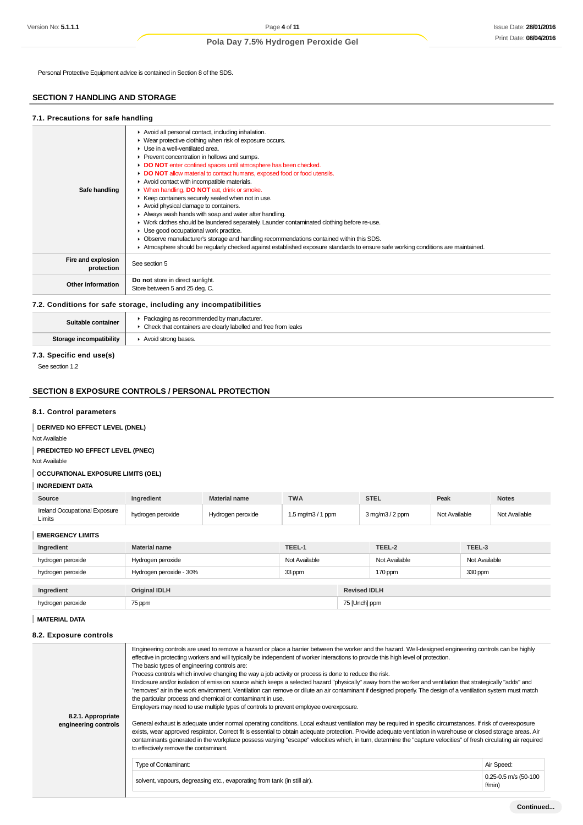Personal Protective Equipment advice is contained in Section 8 of the SDS.

### **SECTION 7 HANDLING AND STORAGE**

#### **7.1. Precautions for safe handling**

| Safe handling                    | Avoid all personal contact, including inhalation.<br>▶ Wear protective clothing when risk of exposure occurs.<br>$\blacktriangleright$ Use in a well-ventilated area.<br>▶ Prevent concentration in hollows and sumps.<br>DO NOT enter confined spaces until atmosphere has been checked.<br>• DO NOT allow material to contact humans, exposed food or food utensils.<br>Avoid contact with incompatible materials.<br>V When handling, DO NOT eat, drink or smoke.<br>▶ Keep containers securely sealed when not in use.<br>Avoid physical damage to containers.<br>Always wash hands with soap and water after handling.<br>► Work clothes should be laundered separately. Launder contaminated clothing before re-use.<br>Use good occupational work practice.<br>• Observe manufacturer's storage and handling recommendations contained within this SDS.<br>Atmosphere should be regularly checked against established exposure standards to ensure safe working conditions are maintained. |
|----------------------------------|---------------------------------------------------------------------------------------------------------------------------------------------------------------------------------------------------------------------------------------------------------------------------------------------------------------------------------------------------------------------------------------------------------------------------------------------------------------------------------------------------------------------------------------------------------------------------------------------------------------------------------------------------------------------------------------------------------------------------------------------------------------------------------------------------------------------------------------------------------------------------------------------------------------------------------------------------------------------------------------------------|
| Fire and explosion<br>protection | See section 5                                                                                                                                                                                                                                                                                                                                                                                                                                                                                                                                                                                                                                                                                                                                                                                                                                                                                                                                                                                     |
| Other information                | Do not store in direct sunlight.<br>Store between 5 and 25 deg. C.                                                                                                                                                                                                                                                                                                                                                                                                                                                                                                                                                                                                                                                                                                                                                                                                                                                                                                                                |
|                                  |                                                                                                                                                                                                                                                                                                                                                                                                                                                                                                                                                                                                                                                                                                                                                                                                                                                                                                                                                                                                   |

### **7.2. Conditions for safe storage, including any incompatibilities**

| Suitable container      | Packaging as recommended by manufacturer.<br>• Check that containers are clearly labelled and free from leaks |
|-------------------------|---------------------------------------------------------------------------------------------------------------|
| Storage incompatibility | Avoid strong bases.                                                                                           |

### **7.3. Specific end use(s)**

See section 1.2

### **SECTION 8 EXPOSURE CONTROLS / PERSONAL PROTECTION**

### **8.1. Control parameters**

**DERIVED NO EFFECT LEVEL (DNEL)**

Not Available

**PREDICTED NO EFFECT LEVEL (PNEC)**

Not Available

**OCCUPATIONAL EXPOSURE LIMITS (OEL)**

### **INGREDIENT DATA**

| Source                                  | <b>Ingredient</b> | Material name     | <b>TWA</b>        | <b>STEL</b>                        | Peak          | <b>Notes</b>  |
|-----------------------------------------|-------------------|-------------------|-------------------|------------------------------------|---------------|---------------|
| Ireland Occupational Exposure<br>Limits | hydrogen peroxide | Hvdrogen peroxide | 1.5 ma/m3 / 1 ppm | $3 \text{ ma/m}$ $3/2 \text{ ppm}$ | Not Available | Not Available |

**EMERGENCY LIMITS**

| Ingredient        | <b>Material name</b>    | TEEL-1        |                     | TEEL-2        | TEEL-3        |
|-------------------|-------------------------|---------------|---------------------|---------------|---------------|
| hydrogen peroxide | Hydrogen peroxide       | Not Available |                     | Not Available | Not Available |
| hydrogen peroxide | Hydrogen peroxide - 30% | 33 ppm        |                     | 170 ppm       | 330 ppm       |
| Ingredient        | <b>Original IDLH</b>    |               | <b>Revised IDLH</b> |               |               |
| hydrogen peroxide | 75 ppm                  |               | 75 [Unch] ppm       |               |               |

### **MATERIAL DATA**

#### **8.2. Exposure controls**

| 8.2.1. Appropriate<br>engineering controls | Engineering controls are used to remove a hazard or place a barrier between the worker and the hazard. Well-designed engineering controls can be highly<br>effective in protecting workers and will typically be independent of worker interactions to provide this high level of protection.<br>The basic types of engineering controls are:<br>Process controls which involve changing the way a job activity or process is done to reduce the risk.<br>Enclosure and/or isolation of emission source which keeps a selected hazard "physically" away from the worker and ventilation that strategically "adds" and<br>"removes" air in the work environment. Ventilation can remove or dilute an air contaminant if designed properly. The design of a ventilation system must match<br>the particular process and chemical or contaminant in use.<br>Employers may need to use multiple types of controls to prevent employee overexposure.<br>General exhaust is adequate under normal operating conditions. Local exhaust ventilation may be required in specific circumstances. If risk of overexposure<br>exists, wear approved respirator. Correct fit is essential to obtain adequate protection. Provide adequate ventilation in warehouse or closed storage areas. Air |                                    |  |  |
|--------------------------------------------|------------------------------------------------------------------------------------------------------------------------------------------------------------------------------------------------------------------------------------------------------------------------------------------------------------------------------------------------------------------------------------------------------------------------------------------------------------------------------------------------------------------------------------------------------------------------------------------------------------------------------------------------------------------------------------------------------------------------------------------------------------------------------------------------------------------------------------------------------------------------------------------------------------------------------------------------------------------------------------------------------------------------------------------------------------------------------------------------------------------------------------------------------------------------------------------------------------------------------------------------------------------------------------|------------------------------------|--|--|
|                                            | contaminants generated in the workplace possess varying "escape" velocities which, in turn, determine the "capture velocities" of fresh circulating air required                                                                                                                                                                                                                                                                                                                                                                                                                                                                                                                                                                                                                                                                                                                                                                                                                                                                                                                                                                                                                                                                                                                   |                                    |  |  |
|                                            | to effectively remove the contaminant.                                                                                                                                                                                                                                                                                                                                                                                                                                                                                                                                                                                                                                                                                                                                                                                                                                                                                                                                                                                                                                                                                                                                                                                                                                             |                                    |  |  |
|                                            | Air Speed:<br><b>Type of Contaminant:</b>                                                                                                                                                                                                                                                                                                                                                                                                                                                                                                                                                                                                                                                                                                                                                                                                                                                                                                                                                                                                                                                                                                                                                                                                                                          |                                    |  |  |
|                                            | solvent, vapours, degreasing etc., evaporating from tank (in still air).                                                                                                                                                                                                                                                                                                                                                                                                                                                                                                                                                                                                                                                                                                                                                                                                                                                                                                                                                                                                                                                                                                                                                                                                           | $0.25 - 0.5$ m/s (50-100<br>f/min) |  |  |
|                                            |                                                                                                                                                                                                                                                                                                                                                                                                                                                                                                                                                                                                                                                                                                                                                                                                                                                                                                                                                                                                                                                                                                                                                                                                                                                                                    |                                    |  |  |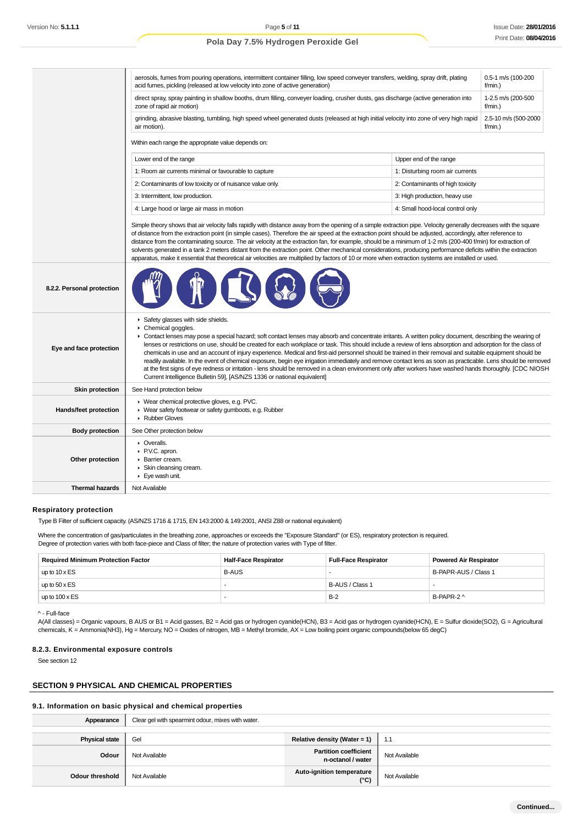|                            | aerosols, fumes from pouring operations, intermittent container filling, low speed conveyer transfers, welding, spray drift, plating<br>acid fumes, pickling (released at low velocity into zone of active generation)                                                                                                                                                                                                                                                                                                                                                                                                                                                                                                                                                                                                                                                                                                                                       | 0.5-1 m/s (100-200<br>$f/min.$ ) |  |  |
|----------------------------|--------------------------------------------------------------------------------------------------------------------------------------------------------------------------------------------------------------------------------------------------------------------------------------------------------------------------------------------------------------------------------------------------------------------------------------------------------------------------------------------------------------------------------------------------------------------------------------------------------------------------------------------------------------------------------------------------------------------------------------------------------------------------------------------------------------------------------------------------------------------------------------------------------------------------------------------------------------|----------------------------------|--|--|
|                            | direct spray, spray painting in shallow booths, drum filling, conveyer loading, crusher dusts, gas discharge (active generation into<br>zone of rapid air motion)                                                                                                                                                                                                                                                                                                                                                                                                                                                                                                                                                                                                                                                                                                                                                                                            |                                  |  |  |
|                            | grinding, abrasive blasting, tumbling, high speed wheel generated dusts (released at high initial velocity into zone of very high rapid<br>2.5-10 m/s (500-2000<br>air motion).<br>$f/min.$ )                                                                                                                                                                                                                                                                                                                                                                                                                                                                                                                                                                                                                                                                                                                                                                |                                  |  |  |
|                            | Within each range the appropriate value depends on:                                                                                                                                                                                                                                                                                                                                                                                                                                                                                                                                                                                                                                                                                                                                                                                                                                                                                                          |                                  |  |  |
|                            | Lower end of the range<br>Upper end of the range                                                                                                                                                                                                                                                                                                                                                                                                                                                                                                                                                                                                                                                                                                                                                                                                                                                                                                             |                                  |  |  |
|                            | 1: Room air currents minimal or favourable to capture                                                                                                                                                                                                                                                                                                                                                                                                                                                                                                                                                                                                                                                                                                                                                                                                                                                                                                        | 1: Disturbing room air currents  |  |  |
|                            | 2: Contaminants of low toxicity or of nuisance value only.                                                                                                                                                                                                                                                                                                                                                                                                                                                                                                                                                                                                                                                                                                                                                                                                                                                                                                   | 2: Contaminants of high toxicity |  |  |
|                            | 3: Intermittent, low production.                                                                                                                                                                                                                                                                                                                                                                                                                                                                                                                                                                                                                                                                                                                                                                                                                                                                                                                             | 3: High production, heavy use    |  |  |
|                            | 4: Large hood or large air mass in motion                                                                                                                                                                                                                                                                                                                                                                                                                                                                                                                                                                                                                                                                                                                                                                                                                                                                                                                    | 4: Small hood-local control only |  |  |
|                            | Simple theory shows that air velocity falls rapidly with distance away from the opening of a simple extraction pipe. Velocity generally decreases with the square<br>of distance from the extraction point (in simple cases). Therefore the air speed at the extraction point should be adjusted, accordingly, after reference to<br>distance from the contaminating source. The air velocity at the extraction fan, for example, should be a minimum of 1-2 m/s (200-400 f/min) for extraction of<br>solvents generated in a tank 2 meters distant from the extraction point. Other mechanical considerations, producing performance deficits within the extraction<br>apparatus, make it essential that theoretical air velocities are multiplied by factors of 10 or more when extraction systems are installed or used.                                                                                                                                  |                                  |  |  |
| 8.2.2. Personal protection |                                                                                                                                                                                                                                                                                                                                                                                                                                                                                                                                                                                                                                                                                                                                                                                                                                                                                                                                                              |                                  |  |  |
| Eye and face protection    | Safety glasses with side shields.<br>Chemical goggles.<br>► Contact lenses may pose a special hazard; soft contact lenses may absorb and concentrate irritants. A written policy document, describing the wearing of<br>lenses or restrictions on use, should be created for each workplace or task. This should include a review of lens absorption and adsorption for the class of<br>chemicals in use and an account of injury experience. Medical and first-aid personnel should be trained in their removal and suitable equipment should be<br>readily available. In the event of chemical exposure, begin eye irrigation immediately and remove contact lens as soon as practicable. Lens should be removed<br>at the first signs of eye redness or irritation - lens should be removed in a clean environment only after workers have washed hands thoroughly. [CDC NIOSH<br>Current Intelligence Bulletin 59], [AS/NZS 1336 or national equivalent] |                                  |  |  |
| <b>Skin protection</b>     | See Hand protection below                                                                                                                                                                                                                                                                                                                                                                                                                                                                                                                                                                                                                                                                                                                                                                                                                                                                                                                                    |                                  |  |  |
| Hands/feet protection      | ▶ Wear chemical protective gloves, e.g. PVC.<br>• Wear safety footwear or safety gumboots, e.g. Rubber<br>Rubber Gloves                                                                                                                                                                                                                                                                                                                                                                                                                                                                                                                                                                                                                                                                                                                                                                                                                                      |                                  |  |  |
| <b>Body protection</b>     | See Other protection below                                                                                                                                                                                                                                                                                                                                                                                                                                                                                                                                                                                                                                                                                                                                                                                                                                                                                                                                   |                                  |  |  |
| Other protection           | • Overalls.<br>P.V.C. apron.<br>Barrier cream.<br>Skin cleansing cream.<br>$\blacktriangleright$ Eye wash unit.                                                                                                                                                                                                                                                                                                                                                                                                                                                                                                                                                                                                                                                                                                                                                                                                                                              |                                  |  |  |
| <b>Thermal hazards</b>     | Not Available                                                                                                                                                                                                                                                                                                                                                                                                                                                                                                                                                                                                                                                                                                                                                                                                                                                                                                                                                |                                  |  |  |
|                            |                                                                                                                                                                                                                                                                                                                                                                                                                                                                                                                                                                                                                                                                                                                                                                                                                                                                                                                                                              |                                  |  |  |

#### **Respiratory protection**

Type B Filter of sufficient capacity. (AS/NZS 1716 & 1715, EN 143:2000 & 149:2001, ANSI Z88 or national equivalent)

Where the concentration of gas/particulates in the breathing zone, approaches or exceeds the "Exposure Standard" (or ES), respiratory protection is required. Degree of protection varies with both face-piece and Class of filter; the nature of protection varies with Type of filter.

| <b>Required Minimum Protection Factor</b> | <b>Half-Face Respirator</b> | <b>Full-Face Respirator</b> | <b>Powered Air Respirator</b> |
|-------------------------------------------|-----------------------------|-----------------------------|-------------------------------|
| up to $10 \times ES$                      | <b>B-AUS</b>                |                             | B-PAPR-AUS / Class 1          |
| up to $50 \times ES$                      |                             | B-AUS / Class 1             |                               |
| up to $100 \times ES$                     |                             | $B-2$                       | B-PAPR-2 ^                    |

^ - Full-face

A(All classes) = Organic vapours, B AUS or B1 = Acid gasses, B2 = Acid gas or hydrogen cyanide(HCN), B3 = Acid gas or hydrogen cyanide(HCN), E = Sulfur dioxide(SO2), G = Agricultural chemicals, K = Ammonia(NH3), Hg = Mercury, NO = Oxides of nitrogen, MB = Methyl bromide, AX = Low boiling point organic compounds(below 65 degC)

### **8.2.3. Environmental exposure controls**

See section 12

### **SECTION 9 PHYSICAL AND CHEMICAL PROPERTIES**

#### **9.1. Information on basic physical and chemical properties**

| Appearance             | Clear gel with spearmint odour, mixes with water. |                                                   |               |
|------------------------|---------------------------------------------------|---------------------------------------------------|---------------|
| <b>Physical state</b>  | Gel                                               | Relative density (Water = 1) $\parallel$          | $-1.1$        |
| Odour                  | Not Available                                     | <b>Partition coefficient</b><br>n-octanol / water | Not Available |
| <b>Odour threshold</b> | Not Available                                     | Auto-ignition temperature<br>(°C)                 | Not Available |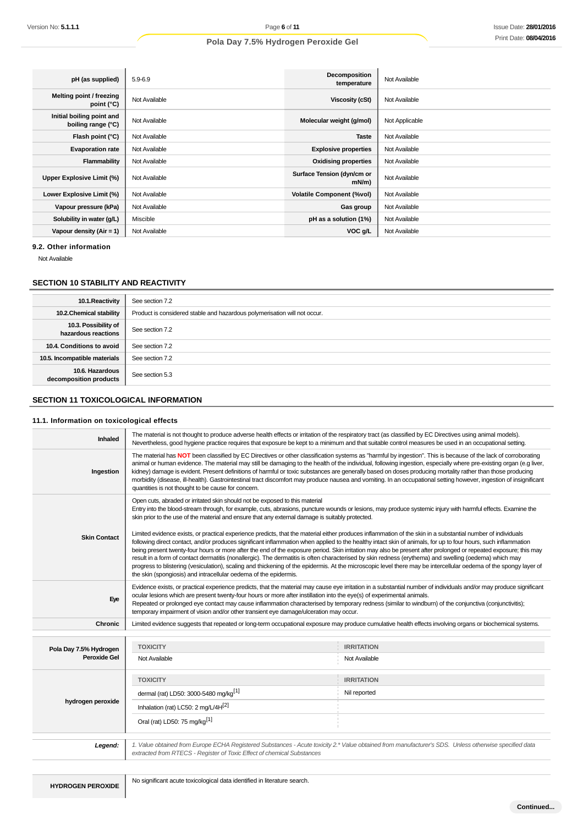| pH (as supplied)                                | $5.9 - 6.9$   | Decomposition<br>temperature           | Not Available  |
|-------------------------------------------------|---------------|----------------------------------------|----------------|
| Melting point / freezing<br>point (°C)          | Not Available | Viscosity (cSt)                        | Not Available  |
| Initial boiling point and<br>boiling range (°C) | Not Available | Molecular weight (g/mol)               | Not Applicable |
| Flash point (°C)                                | Not Available | <b>Taste</b>                           | Not Available  |
| <b>Evaporation rate</b>                         | Not Available | <b>Explosive properties</b>            | Not Available  |
| Flammability                                    | Not Available | <b>Oxidising properties</b>            | Not Available  |
| Upper Explosive Limit (%)                       | Not Available | Surface Tension (dyn/cm or<br>$mN/m$ ) | Not Available  |
| Lower Explosive Limit (%)                       | Not Available | <b>Volatile Component (%vol)</b>       | Not Available  |
| Vapour pressure (kPa)                           | Not Available | Gas group                              | Not Available  |
| Solubility in water (g/L)                       | Miscible      | pH as a solution (1%)                  | Not Available  |
| Vapour density $(Air = 1)$                      | Not Available | VOC g/L                                | Not Available  |

**9.2. Other information**

Not Available

### **SECTION 10 STABILITY AND REACTIVITY**

| 10.1. Reactivity                            | See section 7.2                                                           |
|---------------------------------------------|---------------------------------------------------------------------------|
| 10.2. Chemical stability                    | Product is considered stable and hazardous polymerisation will not occur. |
| 10.3. Possibility of<br>hazardous reactions | See section 7.2                                                           |
| 10.4. Conditions to avoid                   | See section 7.2                                                           |
| 10.5. Incompatible materials                | See section 7.2                                                           |
| 10.6. Hazardous<br>decomposition products   | See section 5.3                                                           |

### **SECTION 11 TOXICOLOGICAL INFORMATION**

### **11.1. Information on toxicological effects**

| Inhaled                                | The material is not thought to produce adverse health effects or irritation of the respiratory tract (as classified by EC Directives using animal models).<br>Nevertheless, good hygiene practice requires that exposure be kept to a minimum and that suitable control measures be used in an occupational setting.                                                                                                                                                                                                                                                                                                                                                                                                                                                                                                                                                                                                                                                                                                                                                                                                                                                                                                                                     |                                    |  |
|----------------------------------------|----------------------------------------------------------------------------------------------------------------------------------------------------------------------------------------------------------------------------------------------------------------------------------------------------------------------------------------------------------------------------------------------------------------------------------------------------------------------------------------------------------------------------------------------------------------------------------------------------------------------------------------------------------------------------------------------------------------------------------------------------------------------------------------------------------------------------------------------------------------------------------------------------------------------------------------------------------------------------------------------------------------------------------------------------------------------------------------------------------------------------------------------------------------------------------------------------------------------------------------------------------|------------------------------------|--|
| Ingestion                              | The material has NOT been classified by EC Directives or other classification systems as "harmful by ingestion". This is because of the lack of corroborating<br>animal or human evidence. The material may still be damaging to the health of the individual, following ingestion, especially where pre-existing organ (e.g liver,<br>kidney) damage is evident. Present definitions of harmful or toxic substances are generally based on doses producing mortality rather than those producing<br>morbidity (disease, ill-health). Gastrointestinal tract discomfort may produce nausea and vomiting. In an occupational setting however, ingestion of insignificant<br>quantities is not thought to be cause for concern.                                                                                                                                                                                                                                                                                                                                                                                                                                                                                                                            |                                    |  |
|                                        | Open cuts, abraded or irritated skin should not be exposed to this material<br>Entry into the blood-stream through, for example, cuts, abrasions, puncture wounds or lesions, may produce systemic injury with harmful effects. Examine the<br>skin prior to the use of the material and ensure that any external damage is suitably protected.<br>Limited evidence exists, or practical experience predicts, that the material either produces inflammation of the skin in a substantial number of individuals<br>following direct contact, and/or produces significant inflammation when applied to the healthy intact skin of animals, for up to four hours, such inflammation<br>being present twenty-four hours or more after the end of the exposure period. Skin irritation may also be present after prolonged or repeated exposure; this may<br>result in a form of contact dermatitis (nonallergic). The dermatitis is often characterised by skin redness (erythema) and swelling (oedema) which may<br>progress to blistering (vesiculation), scaling and thickening of the epidermis. At the microscopic level there may be intercellular oedema of the spongy layer of<br>the skin (spongiosis) and intracellular oedema of the epidermis. |                                    |  |
| <b>Skin Contact</b>                    |                                                                                                                                                                                                                                                                                                                                                                                                                                                                                                                                                                                                                                                                                                                                                                                                                                                                                                                                                                                                                                                                                                                                                                                                                                                          |                                    |  |
| Eye                                    | Evidence exists, or practical experience predicts, that the material may cause eye irritation in a substantial number of individuals and/or may produce significant<br>ocular lesions which are present twenty-four hours or more after instillation into the eye(s) of experimental animals.<br>Repeated or prolonged eye contact may cause inflammation characterised by temporary redness (similar to windburn) of the conjunctiva (conjunctivitis);<br>temporary impairment of vision and/or other transient eye damage/ulceration may occur.                                                                                                                                                                                                                                                                                                                                                                                                                                                                                                                                                                                                                                                                                                        |                                    |  |
| <b>Chronic</b>                         | Limited evidence suggests that repeated or long-term occupational exposure may produce cumulative health effects involving organs or biochemical systems.                                                                                                                                                                                                                                                                                                                                                                                                                                                                                                                                                                                                                                                                                                                                                                                                                                                                                                                                                                                                                                                                                                |                                    |  |
|                                        |                                                                                                                                                                                                                                                                                                                                                                                                                                                                                                                                                                                                                                                                                                                                                                                                                                                                                                                                                                                                                                                                                                                                                                                                                                                          |                                    |  |
| Pola Day 7.5% Hydrogen<br>Peroxide Gel | <b>TOXICITY</b><br>Not Available                                                                                                                                                                                                                                                                                                                                                                                                                                                                                                                                                                                                                                                                                                                                                                                                                                                                                                                                                                                                                                                                                                                                                                                                                         | <b>IRRITATION</b><br>Not Available |  |
|                                        | <b>TOXICITY</b>                                                                                                                                                                                                                                                                                                                                                                                                                                                                                                                                                                                                                                                                                                                                                                                                                                                                                                                                                                                                                                                                                                                                                                                                                                          | <b>IRRITATION</b>                  |  |
|                                        | dermal (rat) LD50: 3000-5480 mg/kg <sup>[1]</sup>                                                                                                                                                                                                                                                                                                                                                                                                                                                                                                                                                                                                                                                                                                                                                                                                                                                                                                                                                                                                                                                                                                                                                                                                        | Nil reported                       |  |
| hydrogen peroxide                      | Inhalation (rat) LC50: 2 mg/L/4H <sup>[2]</sup>                                                                                                                                                                                                                                                                                                                                                                                                                                                                                                                                                                                                                                                                                                                                                                                                                                                                                                                                                                                                                                                                                                                                                                                                          |                                    |  |
|                                        | Oral (rat) LD50: 75 mg/kg <sup>[1]</sup>                                                                                                                                                                                                                                                                                                                                                                                                                                                                                                                                                                                                                                                                                                                                                                                                                                                                                                                                                                                                                                                                                                                                                                                                                 |                                    |  |
| Legend:                                | 1. Value obtained from Europe ECHA Registered Substances - Acute toxicity 2.* Value obtained from manufacturer's SDS. Unless otherwise specified data                                                                                                                                                                                                                                                                                                                                                                                                                                                                                                                                                                                                                                                                                                                                                                                                                                                                                                                                                                                                                                                                                                    |                                    |  |
|                                        | extracted from RTECS - Register of Toxic Effect of chemical Substances                                                                                                                                                                                                                                                                                                                                                                                                                                                                                                                                                                                                                                                                                                                                                                                                                                                                                                                                                                                                                                                                                                                                                                                   |                                    |  |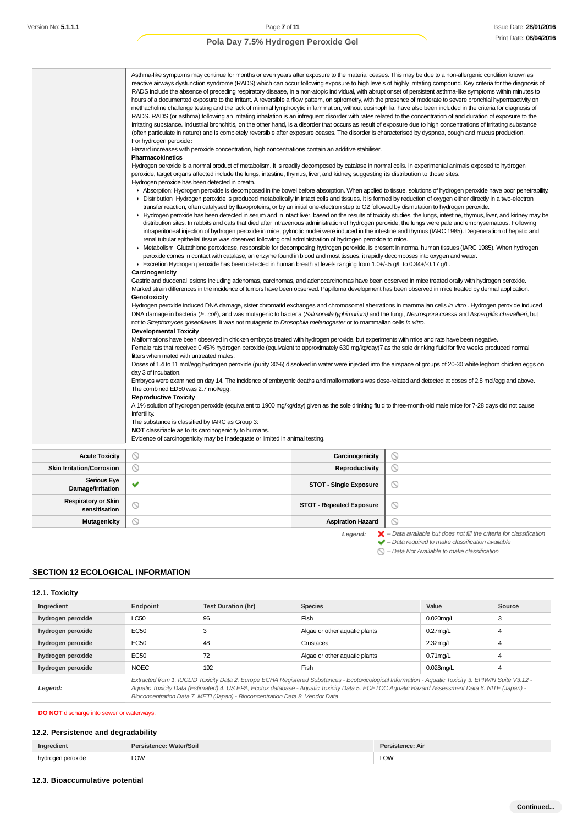|                                  | RADS include the absence of preceding respiratory disease, in a non-atopic individual, with abrupt onset of persistent asthma-like symptoms within minutes to<br>hours of a documented exposure to the irritant. A reversible airflow pattern, on spirometry, with the presence of moderate to severe bronchial hyperreactivity on<br>methacholine challenge testing and the lack of minimal lymphocytic inflammation, without eosinophilia, have also been included in the criteria for diagnosis of<br>RADS. RADS (or asthma) following an irritating inhalation is an infrequent disorder with rates related to the concentration of and duration of exposure to the<br>irritating substance. Industrial bronchitis, on the other hand, is a disorder that occurs as result of exposure due to high concentrations of irritating substance<br>(often particulate in nature) and is completely reversible after exposure ceases. The disorder is characterised by dyspnea, cough and mucus production.<br>For hydrogen peroxide:<br>Hazard increases with peroxide concentration, high concentrations contain an additive stabiliser.<br><b>Pharmacokinetics</b><br>Hydrogen peroxide is a normal product of metabolism. It is readily decomposed by catalase in normal cells. In experimental animals exposed to hydrogen<br>peroxide, target organs affected include the lungs, intestine, thymus, liver, and kidney, suggesting its distribution to those sites.<br>Hydrogen peroxide has been detected in breath.<br>Absorption: Hydrogen peroxide is decomposed in the bowel before absorption. When applied to tissue, solutions of hydrogen peroxide have poor penetrability.<br>▶ Distribution Hydrogen peroxide is produced metabolically in intact cells and tissues. It is formed by reduction of oxygen either directly in a two-electron<br>transfer reaction, often catalysed by flavoproteins, or by an initial one-electron step to O2 followed by dismutation to hydrogen peroxide.<br>► Hydrogen peroxide has been detected in serum and in intact liver. based on the results of toxicity studies, the lungs, intestine, thymus, liver, and kidney may be<br>distribution sites. In rabbits and cats that died after intravenous administration of hydrogen peroxide, the lungs were pale and emphysematous. Following<br>intraperitoneal injection of hydrogen peroxide in mice, pyknotic nuclei were induced in the intestine and thymus (IARC 1985). Degeneration of hepatic and<br>renal tubular epithelial tissue was observed following oral administration of hydrogen peroxide to mice.<br>► Metabolism Glutathione peroxidase, responsible for decomposing hydrogen peroxide, is present in normal human tissues (IARC 1985). When hydrogen<br>peroxide comes in contact with catalase, an enzyme found in blood and most tissues, it rapidly decomposes into oxygen and water.<br>Excretion Hydrogen peroxide has been detected in human breath at levels ranging from 1.0+/-.5 g/L to 0.34+/-0.17 g/L.<br>Carcinogenicity<br>Gastric and duodenal lesions including adenomas, carcinomas, and adenocarcinomas have been observed in mice treated orally with hydrogen peroxide.<br>Marked strain differences in the incidence of tumors have been observed. Papilloma development has been observed in mice treated by dermal application.<br>Genotoxicity<br>Hydrogen peroxide induced DNA damage, sister chromatid exchanges and chromosomal aberrations in mammalian cells in vitro. Hydrogen peroxide induced<br>DNA damage in bacteria (E. coli), and was mutagenic to bacteria (Salmonella typhimurium) and the fungi, Neurospora crassa and Aspergillis chevallieri, but<br>not to Streptomyces griseoflavus. It was not mutagenic to Drosophila melanogaster or to mammalian cells in vitro.<br><b>Developmental Toxicity</b><br>Malformations have been observed in chicken embryos treated with hydrogen peroxide, but experiments with mice and rats have been negative.<br>Female rats that received 0.45% hydrogen peroxide (equivalent to approximately 630 mg/kg/day)7 as the sole drinking fluid for five weeks produced normal<br>litters when mated with untreated males.<br>Doses of 1.4 to 11 mol/egg hydrogen peroxide (purity 30%) dissolved in water were injected into the airspace of groups of 20-30 white leghom chicken eggs on<br>day 3 of incubation.<br>Embryos were examined on day 14. The incidence of embryonic deaths and malformations was dose-related and detected at doses of 2.8 mol/egg and above.<br>The combined ED50 was 2.7 mol/egg.<br><b>Reproductive Toxicity</b> |                 |                |  |  |
|----------------------------------|----------------------------------------------------------------------------------------------------------------------------------------------------------------------------------------------------------------------------------------------------------------------------------------------------------------------------------------------------------------------------------------------------------------------------------------------------------------------------------------------------------------------------------------------------------------------------------------------------------------------------------------------------------------------------------------------------------------------------------------------------------------------------------------------------------------------------------------------------------------------------------------------------------------------------------------------------------------------------------------------------------------------------------------------------------------------------------------------------------------------------------------------------------------------------------------------------------------------------------------------------------------------------------------------------------------------------------------------------------------------------------------------------------------------------------------------------------------------------------------------------------------------------------------------------------------------------------------------------------------------------------------------------------------------------------------------------------------------------------------------------------------------------------------------------------------------------------------------------------------------------------------------------------------------------------------------------------------------------------------------------------------------------------------------------------------------------------------------------------------------------------------------------------------------------------------------------------------------------------------------------------------------------------------------------------------------------------------------------------------------------------------------------------------------------------------------------------------------------------------------------------------------------------------------------------------------------------------------------------------------------------------------------------------------------------------------------------------------------------------------------------------------------------------------------------------------------------------------------------------------------------------------------------------------------------------------------------------------------------------------------------------------------------------------------------------------------------------------------------------------------------------------------------------------------------------------------------------------------------------------------------------------------------------------------------------------------------------------------------------------------------------------------------------------------------------------------------------------------------------------------------------------------------------------------------------------------------------------------------------------------------------------------------------------------------------------------------------------------------------------------------------------------------------------------------------------------------------------------------------------------------------------------------------------------------------------------------------------------------------------------------------------------------------------------------------------------------------------------------------------------------------------------------------------------------------------------------------------------------------------------------------------------------------------------------------------------------------------------------------------------------------------------------------------------------------------------------------------------------------------------------------------------------------------------------------------------------------------------------------------------------------------------|-----------------|----------------|--|--|
|                                  | A 1% solution of hydrogen peroxide (equivalent to 1900 mg/kg/day) given as the sole drinking fluid to three-month-old male mice for 7-28 days did not cause<br>infertility.<br>The substance is classified by IARC as Group 3:<br>NOT classifiable as to its carcinogenicity to humans.<br>Evidence of carcinogenicity may be inadequate or limited in animal testing.                                                                                                                                                                                                                                                                                                                                                                                                                                                                                                                                                                                                                                                                                                                                                                                                                                                                                                                                                                                                                                                                                                                                                                                                                                                                                                                                                                                                                                                                                                                                                                                                                                                                                                                                                                                                                                                                                                                                                                                                                                                                                                                                                                                                                                                                                                                                                                                                                                                                                                                                                                                                                                                                                                                                                                                                                                                                                                                                                                                                                                                                                                                                                                                                                                                                                                                                                                                                                                                                                                                                                                                                                                                                                                                                                                                                                                                                                                                                                                                                                                                                                                                                                                                                                                                                             |                 |                |  |  |
| <b>Acute Toxicity</b>            | $\circledcirc$                                                                                                                                                                                                                                                                                                                                                                                                                                                                                                                                                                                                                                                                                                                                                                                                                                                                                                                                                                                                                                                                                                                                                                                                                                                                                                                                                                                                                                                                                                                                                                                                                                                                                                                                                                                                                                                                                                                                                                                                                                                                                                                                                                                                                                                                                                                                                                                                                                                                                                                                                                                                                                                                                                                                                                                                                                                                                                                                                                                                                                                                                                                                                                                                                                                                                                                                                                                                                                                                                                                                                                                                                                                                                                                                                                                                                                                                                                                                                                                                                                                                                                                                                                                                                                                                                                                                                                                                                                                                                                                                                                                                                                     | Carcinogenicity | $\circledcirc$ |  |  |
| <b>Skin Irritation/Corrosion</b> | $\circ$                                                                                                                                                                                                                                                                                                                                                                                                                                                                                                                                                                                                                                                                                                                                                                                                                                                                                                                                                                                                                                                                                                                                                                                                                                                                                                                                                                                                                                                                                                                                                                                                                                                                                                                                                                                                                                                                                                                                                                                                                                                                                                                                                                                                                                                                                                                                                                                                                                                                                                                                                                                                                                                                                                                                                                                                                                                                                                                                                                                                                                                                                                                                                                                                                                                                                                                                                                                                                                                                                                                                                                                                                                                                                                                                                                                                                                                                                                                                                                                                                                                                                                                                                                                                                                                                                                                                                                                                                                                                                                                                                                                                                                            | Reproductivity  | $\circ$        |  |  |
|                                  |                                                                                                                                                                                                                                                                                                                                                                                                                                                                                                                                                                                                                                                                                                                                                                                                                                                                                                                                                                                                                                                                                                                                                                                                                                                                                                                                                                                                                                                                                                                                                                                                                                                                                                                                                                                                                                                                                                                                                                                                                                                                                                                                                                                                                                                                                                                                                                                                                                                                                                                                                                                                                                                                                                                                                                                                                                                                                                                                                                                                                                                                                                                                                                                                                                                                                                                                                                                                                                                                                                                                                                                                                                                                                                                                                                                                                                                                                                                                                                                                                                                                                                                                                                                                                                                                                                                                                                                                                                                                                                                                                                                                                                                    |                 |                |  |  |

| <b>Skin Irritation/Corrosion</b>            | Y | Reproductivity                  |                                                                                                                                                                    |
|---------------------------------------------|---|---------------------------------|--------------------------------------------------------------------------------------------------------------------------------------------------------------------|
| <b>Serious Eye</b><br>Damage/Irritation     |   | <b>STOT - Single Exposure</b>   | ∾                                                                                                                                                                  |
| <b>Respiratory or Skin</b><br>sensitisation |   | <b>STOT - Repeated Exposure</b> | $\circ$                                                                                                                                                            |
| Mutagenicity                                | N | <b>Aspiration Hazard</b>        |                                                                                                                                                                    |
|                                             |   | Legend:                         | $\blacktriangleright$ - Data available but does not fill the criteria for classification<br>$\blacktriangleright$ - Data required to make classification available |

 $\bigcirc$  – Data Not Available to make classification

### **SECTION 12 ECOLOGICAL INFORMATION**

### **12.1. Toxicity**

| Ingredient        | Endpoint                                                                                                                                                                                                                                                                                                                                                                                 | <b>Test Duration (hr)</b>           | <b>Species</b>                | Value        | Source |
|-------------------|------------------------------------------------------------------------------------------------------------------------------------------------------------------------------------------------------------------------------------------------------------------------------------------------------------------------------------------------------------------------------------------|-------------------------------------|-------------------------------|--------------|--------|
| hydrogen peroxide | <b>LC50</b>                                                                                                                                                                                                                                                                                                                                                                              | Fish<br>96                          |                               | $0.020$ mg/L | 3      |
| hydrogen peroxide | EC50                                                                                                                                                                                                                                                                                                                                                                                     | 3                                   | Algae or other aquatic plants | $0.27$ mg/L  | 4      |
| hydrogen peroxide | EC50                                                                                                                                                                                                                                                                                                                                                                                     | 48                                  | Crustacea                     | $2.32$ mg/L  | 4      |
| hydrogen peroxide | EC50                                                                                                                                                                                                                                                                                                                                                                                     | 72<br>Algae or other aquatic plants |                               | $0.71$ mg/L  | 4      |
| hydrogen peroxide | <b>NOEC</b>                                                                                                                                                                                                                                                                                                                                                                              | 192                                 | Fish                          | $0.028$ mg/L | 4      |
| Legend:           | Extracted from 1. IUCLID Toxicity Data 2. Europe ECHA Registered Substances - Ecotoxicological Information - Aquatic Toxicity 3. EPIWIN Suite V3.12 -<br>Aquatic Toxicity Data (Estimated) 4. US EPA, Ecotox database - Aquatic Toxicity Data 5. ECETOC Aquatic Hazard Assessment Data 6. NITE (Japan) -<br>Bioconcentration Data 7. METI (Japan) - Bioconcentration Data 8. Vendor Data |                                     |                               |              |        |

### **DO NOT** discharge into sewer or waterways.

### **12.2. Persistence and degradability**

| Ingredient               | Persistence: Water/Soil | sistence: Air |
|--------------------------|-------------------------|---------------|
| ` peroxide.<br>hudrogan. | LOW                     | LOW           |

### **12.3. Bioaccumulative potential**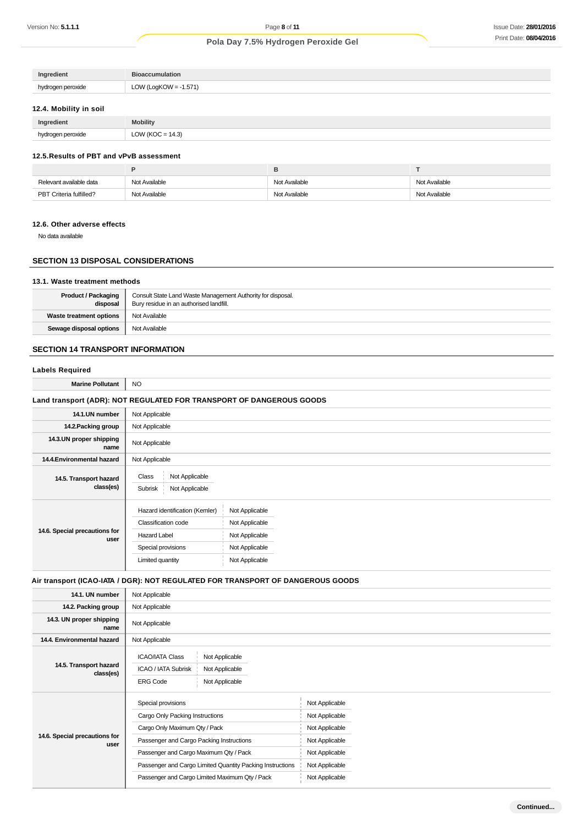| Ingredient        | <b>Bioaccumulation</b> |
|-------------------|------------------------|
| hydrogen peroxide | LOW (LogKOW = -1.571)  |

### **12.4. Mobility in soil**

| Ingredient        | <b>Mobility</b>      |
|-------------------|----------------------|
| hydrogen peroxide | LOW ( $KOC = 14.3$ ) |

### **12.5.Results of PBT and vPvB assessment**

| Relevant available data | Not Available | Not Available | Not Available |
|-------------------------|---------------|---------------|---------------|
| PBT Criteria fulfilled? | Not Available | Not Available | Not Available |

#### **12.6. Other adverse effects**

No data available

### **SECTION 13 DISPOSAL CONSIDERATIONS**

#### **13.1. Waste treatment methods**

| <b>Product / Packaging</b><br>disposal | Consult State Land Waste Management Authority for disposal.<br>Bury residue in an authorised landfill. |
|----------------------------------------|--------------------------------------------------------------------------------------------------------|
| <b>Waste treatment options</b>         | Not Available                                                                                          |
| Sewage disposal options                | Not Available                                                                                          |

### **SECTION 14 TRANSPORT INFORMATION**

## **Labels Required**

**Marine Pollutant** NO

### **Land transport (ADR): NOT REGULATED FOR TRANSPORT OF DANGEROUS GOODS**

| 14.1.UN number                        | Not Applicable                                                                                                                |                                                                                        |  |  |  |
|---------------------------------------|-------------------------------------------------------------------------------------------------------------------------------|----------------------------------------------------------------------------------------|--|--|--|
| 14.2. Packing group                   | Not Applicable                                                                                                                |                                                                                        |  |  |  |
| 14.3.UN proper shipping<br>name       | Not Applicable                                                                                                                |                                                                                        |  |  |  |
| 14.4. Environmental hazard            | Not Applicable                                                                                                                |                                                                                        |  |  |  |
| 14.5. Transport hazard<br>class(es)   | Not Applicable<br>Class<br>Not Applicable<br>Subrisk                                                                          |                                                                                        |  |  |  |
| 14.6. Special precautions for<br>user | Hazard identification (Kemler)<br><b>Classification code</b><br><b>Hazard Label</b><br>Special provisions<br>Limited quantity | Not Applicable<br>Not Applicable<br>Not Applicable<br>Not Applicable<br>Not Applicable |  |  |  |

### **Air transport (ICAO-IATA / DGR): NOT REGULATED FOR TRANSPORT OF DANGEROUS GOODS**

| 14.1. UN number                       | Not Applicable                                                                                                         |                |  |
|---------------------------------------|------------------------------------------------------------------------------------------------------------------------|----------------|--|
| 14.2. Packing group                   | Not Applicable                                                                                                         |                |  |
| 14.3. UN proper shipping<br>name      | Not Applicable                                                                                                         |                |  |
| 14.4. Environmental hazard            | Not Applicable                                                                                                         |                |  |
| 14.5. Transport hazard<br>class(es)   | <b>ICAO/IATA Class</b><br>Not Applicable<br>ICAO / IATA Subrisk<br>Not Applicable<br>Not Applicable<br><b>ERG Code</b> |                |  |
|                                       | Special provisions                                                                                                     | Not Applicable |  |
|                                       | Cargo Only Packing Instructions                                                                                        | Not Applicable |  |
|                                       | Cargo Only Maximum Qty / Pack                                                                                          | Not Applicable |  |
| 14.6. Special precautions for<br>user | Passenger and Cargo Packing Instructions                                                                               | Not Applicable |  |
|                                       | Passenger and Cargo Maximum Qty / Pack                                                                                 | Not Applicable |  |
|                                       | Passenger and Cargo Limited Quantity Packing Instructions                                                              | Not Applicable |  |
|                                       | Passenger and Cargo Limited Maximum Qty / Pack                                                                         | Not Applicable |  |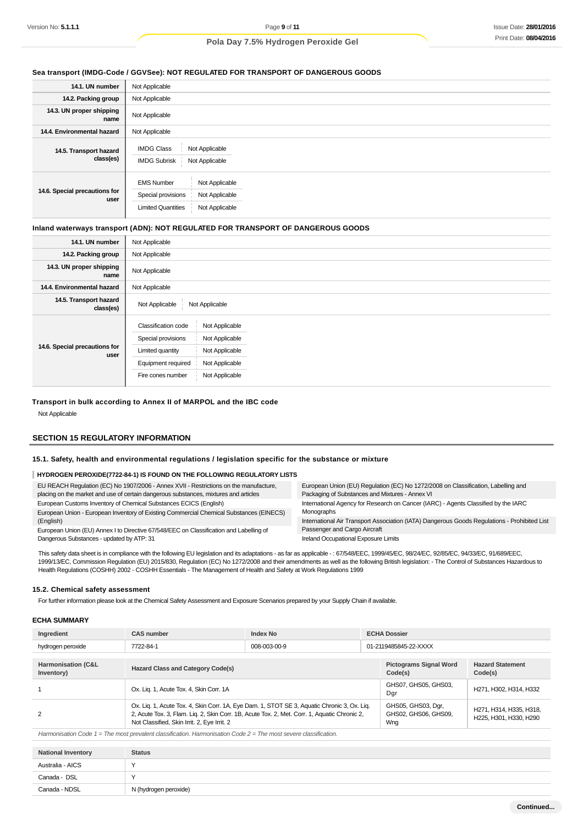### **Sea transport (IMDG-Code / GGVSee): NOT REGULATED FOR TRANSPORT OF DANGEROUS GOODS**

| 14.1. UN number                       | Not Applicable                                                                                                             |  |  |  |
|---------------------------------------|----------------------------------------------------------------------------------------------------------------------------|--|--|--|
| 14.2. Packing group                   | Not Applicable                                                                                                             |  |  |  |
| 14.3. UN proper shipping<br>name      | Not Applicable                                                                                                             |  |  |  |
| 14.4. Environmental hazard            | Not Applicable                                                                                                             |  |  |  |
| 14.5. Transport hazard<br>class(es)   | <b>IMDG Class</b><br>Not Applicable<br><b>IMDG Subrisk</b><br>Not Applicable                                               |  |  |  |
| 14.6. Special precautions for<br>user | <b>EMS Number</b><br>Not Applicable<br>Special provisions<br>Not Applicable<br><b>Limited Quantities</b><br>Not Applicable |  |  |  |

#### **Inland waterways transport (ADN): NOT REGULATED FOR TRANSPORT OF DANGEROUS GOODS**

| 14.1. UN number                       | Not Applicable                                                                                                                                                                                            |
|---------------------------------------|-----------------------------------------------------------------------------------------------------------------------------------------------------------------------------------------------------------|
| 14.2. Packing group                   | Not Applicable                                                                                                                                                                                            |
| 14.3. UN proper shipping<br>name      | Not Applicable                                                                                                                                                                                            |
| 14.4. Environmental hazard            | Not Applicable                                                                                                                                                                                            |
| 14.5. Transport hazard<br>class(es)   | Not Applicable<br>Not Applicable                                                                                                                                                                          |
| 14.6. Special precautions for<br>user | <b>Classification code</b><br>Not Applicable<br>Special provisions<br>Not Applicable<br>Not Applicable<br>Limited quantity<br>Equipment required<br>Not Applicable<br>Not Applicable<br>Fire cones number |

### **Transport in bulk according to Annex II of MARPOL and the IBC code**

Not Applicable

### **SECTION 15 REGULATORY INFORMATION**

#### **15.1. Safety, health and environmental regulations / legislation specific for the substance or mixture**

### **HYDROGEN PEROXIDE(7722-84-1) IS FOUND ON THE FOLLOWING REGULATORY LISTS**

| EU REACH Regulation (EC) No 1907/2006 - Annex XVII - Restrictions on the manufacture,<br>placing on the market and use of certain dangerous substances, mixtures and articles | European Union (EU) Regulation (EC) No 1272/2008 on Classification, Labelling and<br>Packaging of Substances and Mixtures - Annex VI |  |  |  |
|-------------------------------------------------------------------------------------------------------------------------------------------------------------------------------|--------------------------------------------------------------------------------------------------------------------------------------|--|--|--|
| European Customs Inventory of Chemical Substances ECICS (English)                                                                                                             | International Agency for Research on Cancer (IARC) - Agents Classified by the IARC                                                   |  |  |  |
| European Union - European Inventory of Existing Commercial Chemical Substances (EINECS)                                                                                       | Monographs                                                                                                                           |  |  |  |
| (English)                                                                                                                                                                     | International Air Transport Association (IATA) Dangerous Goods Regulations - Prohibited List                                         |  |  |  |
| European Union (EU) Annex I to Directive 67/548/EEC on Classification and Labelling of                                                                                        | Passenger and Cargo Aircraft                                                                                                         |  |  |  |
| Dangerous Substances - updated by ATP: 31                                                                                                                                     | Ireland Occupational Exposure Limits                                                                                                 |  |  |  |

This safety data sheet is in compliance with the following EU legislation and its adaptations - as far as applicable -: 67/548/EEC, 1999/45/EC, 98/24/EC, 92/85/EC, 94/33/EC, 91/689/EEC, 1999/13/EC, Commission Regulation (EU) 2015/830, Regulation (EC) No 1272/2008 and their amendments as well as the following British legislation: - The Control of Substances Hazardous to Health Regulations (COSHH) 2002 - COSHH Essentials - The Management of Health and Safety at Work Regulations 1999

#### **15.2. Chemical safety assessment**

For further information please look at the Chemical Safety Assessment and Exposure Scenarios prepared by your Supply Chain if available.

#### **ECHA SUMMARY**

| Ingredient                                  | <b>CAS number</b><br>Index No                                                                                                                                                                                                              |  | <b>ECHA Dossier</b>                      |                                                   |                                                   |  |  |
|---------------------------------------------|--------------------------------------------------------------------------------------------------------------------------------------------------------------------------------------------------------------------------------------------|--|------------------------------------------|---------------------------------------------------|---------------------------------------------------|--|--|
| hydrogen peroxide                           | 008-003-00-9<br>7722-84-1                                                                                                                                                                                                                  |  |                                          | 01-2119485845-22-XXXX                             |                                                   |  |  |
| <b>Harmonisation (C&amp;L</b><br>Inventory) | <b>Hazard Class and Category Code(s)</b>                                                                                                                                                                                                   |  | <b>Pictograms Signal Word</b><br>Code(s) | <b>Hazard Statement</b><br>Code(s)                |                                                   |  |  |
|                                             | Ox. Lig. 1, Acute Tox. 4, Skin Corr. 1A                                                                                                                                                                                                    |  | GHS07, GHS05, GHS03,<br>Dgr              | H271, H302, H314, H332                            |                                                   |  |  |
| 2                                           | Ox. Lig. 1, Acute Tox. 4, Skin Corr. 1A, Eye Dam. 1, STOT SE 3, Aquatic Chronic 3, Ox. Lig.<br>2, Acute Tox. 3, Flam. Lig. 2, Skin Corr. 1B, Acute Tox. 2, Met. Corr. 1, Aquatic Chronic 2,<br>Not Classified, Skin Irrit. 2, Eye Irrit. 2 |  |                                          | GHS05, GHS03, Dgr,<br>GHS02, GHS06, GHS09,<br>Wng | H271, H314, H335, H318,<br>H225, H301, H330, H290 |  |  |
|                                             |                                                                                                                                                                                                                                            |  |                                          |                                                   |                                                   |  |  |

Harmonisation Code 1 = The most prevalent classification. Harmonisation Code 2 = The most severe classification.

| <b>National Inventory</b> | <b>Status</b>         |
|---------------------------|-----------------------|
| Australia - AICS          |                       |
| Canada - DSL              |                       |
| Canada - NDSL             | N (hydrogen peroxide) |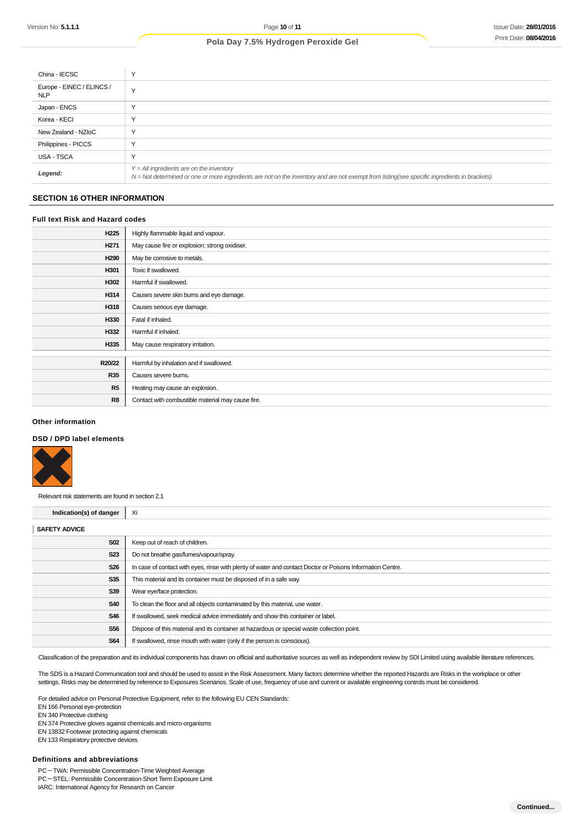| China - IECSC                           |                                                                                                                                                                                            |
|-----------------------------------------|--------------------------------------------------------------------------------------------------------------------------------------------------------------------------------------------|
| Europe - EINEC / ELINCS /<br><b>NLP</b> |                                                                                                                                                                                            |
| Japan - ENCS                            |                                                                                                                                                                                            |
| Korea - KECI                            |                                                                                                                                                                                            |
| New Zealand - NZIoC                     |                                                                                                                                                                                            |
| Philippines - PICCS                     |                                                                                                                                                                                            |
| USA - TSCA                              |                                                                                                                                                                                            |
| Legend:                                 | $Y = All$ ingredients are on the inventory<br>N = Not determined or one or more ingredients are not on the inventory and are not exempt from listing(see specific ingredients in brackets) |

### **SECTION 16 OTHER INFORMATION**

### **Full text Risk and Hazard codes**

| H <sub>225</sub> | Highly flammable liquid and vapour.               |  |
|------------------|---------------------------------------------------|--|
| H <sub>271</sub> | May cause fire or explosion; strong oxidiser.     |  |
| H290             | May be corrosive to metals.                       |  |
| H301             | Toxic if swallowed.                               |  |
| H302             | Harmful if swallowed.                             |  |
| H314             | Causes severe skin burns and eye damage.          |  |
| H318             | Causes serious eye damage.                        |  |
| H330             | Fatal if inhaled.                                 |  |
| H332             | Harmful if inhaled.                               |  |
| H335             | May cause respiratory irritation.                 |  |
|                  |                                                   |  |
| R20/22           | Harmful by inhalation and if swallowed.           |  |
| <b>R35</b>       | Causes severe burns.                              |  |
| R5               | Heating may cause an explosion.                   |  |
| R8               | Contact with combustible material may cause fire. |  |

#### **Other information**

#### **DSD / DPD label elements**



Relevant risk statements are found in section 2.1

| <b>SAFETY ADVICE</b><br><b>S02</b><br>Keep out of reach of children.<br><b>S23</b><br>Do not breathe gas/fumes/vapour/spray.<br><b>S26</b><br>In case of contact with eyes, rinse with plenty of water and contact Doctor or Poisons Information Centre.<br><b>S35</b><br>This material and its container must be disposed of in a safe way. | Indication(s) of danger | - Xi                      |  |
|----------------------------------------------------------------------------------------------------------------------------------------------------------------------------------------------------------------------------------------------------------------------------------------------------------------------------------------------|-------------------------|---------------------------|--|
|                                                                                                                                                                                                                                                                                                                                              |                         |                           |  |
|                                                                                                                                                                                                                                                                                                                                              |                         |                           |  |
|                                                                                                                                                                                                                                                                                                                                              |                         |                           |  |
|                                                                                                                                                                                                                                                                                                                                              |                         |                           |  |
|                                                                                                                                                                                                                                                                                                                                              |                         |                           |  |
|                                                                                                                                                                                                                                                                                                                                              | S39                     | Wear eye/face protection. |  |
| <b>S40</b><br>To clean the floor and all objects contaminated by this material, use water.                                                                                                                                                                                                                                                   |                         |                           |  |
| S46<br>If swallowed, seek medical advice immediately and show this container or label.                                                                                                                                                                                                                                                       |                         |                           |  |
| <b>S56</b><br>Dispose of this material and its container at hazardous or special waste collection point.                                                                                                                                                                                                                                     |                         |                           |  |
| <b>S64</b><br>If swallowed, rinse mouth with water (only if the person is conscious).                                                                                                                                                                                                                                                        |                         |                           |  |

Classification of the preparation and its individual components has drawn on official and authoritative sources as well as independent review by SDI Limited using available literature references.

The SDS is a Hazard Communication tool and should be used to assist in the Risk Assessment. Many factors determine whether the reported Hazards are Risks in the workplace or other settings. Risks may be determined by reference to Exposures Scenarios. Scale of use, frequency of use and current or available engineering controls must be considered.

For detailed advice on Personal Protective Equipment, refer to the following EU CEN Standards:

EN 166 Personal eye-protection

EN 340 Protective clothing

EN 374 Protective gloves against chemicals and micro-organisms

EN 13832 Footwear protecting against chemicals

EN 133 Respiratory protective devices

#### **Definitions and abbreviations**

PC-TWA: Permissible Concentration-Time Weighted Average PC-STEL: Permissible Concentration-Short Term Exposure Limit IARC: International Agency for Research on Cancer